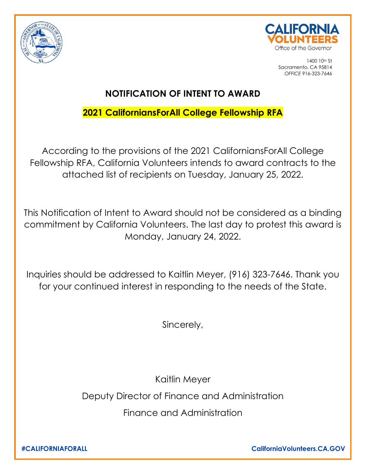



1400 10th St Sacramento, CA 95814 *OFFICE* 916-323-7646

## **NOTIFICATION OF INTENT TO AWARD**

## **2021 CaliforniansForAll College Fellowship RFA**

According to the provisions of the 2021 CaliforniansForAll College Fellowship RFA, California Volunteers intends to award contracts to the attached list of recipients on Tuesday, January 25, 2022.

This Notification of Intent to Award should not be considered as a binding commitment by California Volunteers. The last day to protest this award is Monday, January 24, 2022.

Inquiries should be addressed to Kaitlin Meyer, (916) 323-7646. Thank you for your continued interest in responding to the needs of the State.

Sincerely,

Kaitlin Meyer

Deputy Director of Finance and Administration

Finance and Administration

**#CALIFORNIAFORALL CaliforniaVolunteers.CA.GOV**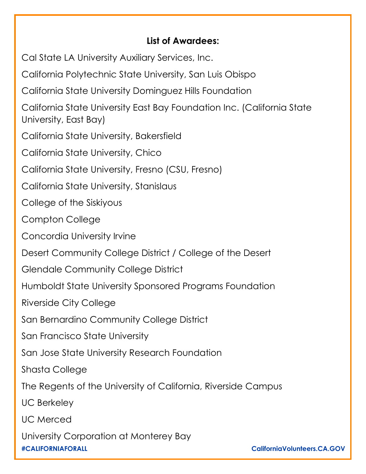## **List of Awardees:**

Cal State LA University Auxiliary Services, Inc.

California Polytechnic State University, San Luis Obispo

California State University Dominguez Hills Foundation

California State University East Bay Foundation Inc. (California State University, East Bay)

California State University, Bakersfield

California State University, Chico

California State University, Fresno (CSU, Fresno)

California State University, Stanislaus

College of the Siskiyous

Compton College

Concordia University Irvine

Desert Community College District / College of the Desert

Glendale Community College District

Humboldt State University Sponsored Programs Foundation

Riverside City College

San Bernardino Community College District

San Francisco State University

San Jose State University Research Foundation

Shasta College

The Regents of the University of California, Riverside Campus

UC Berkeley

UC Merced

**#CALIFORNIAFORALL CaliforniaVolunteers.CA.GOV** University Corporation at Monterey Bay